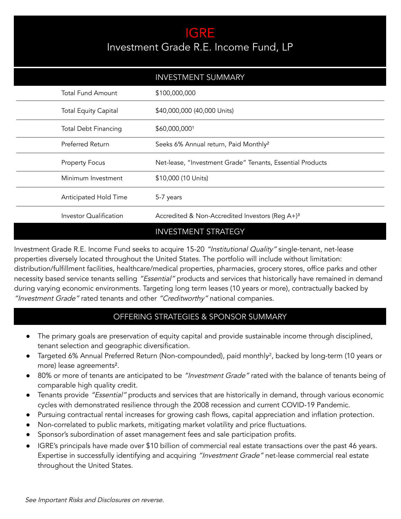## IGRE Investment Grade R.E. Income Fund, LP

|                             | <b>INVESTMENT SUMMARY</b>                                   |
|-----------------------------|-------------------------------------------------------------|
| <b>Total Fund Amount</b>    | \$100,000,000                                               |
| <b>Total Equity Capital</b> | \$40,000,000 (40,000 Units)                                 |
| <b>Total Debt Financing</b> | \$60,000,0001                                               |
| Preferred Return            | Seeks 6% Annual return, Paid Monthly <sup>2</sup>           |
| <b>Property Focus</b>       | Net-lease, "Investment Grade" Tenants, Essential Products   |
| Minimum Investment          | \$10,000 (10 Units)                                         |
| Anticipated Hold Time       | 5-7 years                                                   |
| Investor Qualification      | Accredited & Non-Accredited Investors (Reg A+) <sup>3</sup> |
|                             | <b>INVESTMENT STRATEGY</b>                                  |

Investment Grade R.E. Income Fund seeks to acquire 15-20 "Institutional Quality" single-tenant, net-lease properties diversely located throughout the United States. The portfolio will include without limitation: distribution/fulfillment facilities, healthcare/medical properties, pharmacies, grocery stores, office parks and other necessity based service tenants selling "Essential" products and services that historically have remained in demand during varying economic environments. Targeting long term leases (10 years or more), contractually backed by "Investment Grade" rated tenants and other "Creditworthy" national companies.

## OFFERING STRATEGIES & SPONSOR SUMMARY

- The primary goals are preservation of equity capital and provide sustainable income through disciplined, tenant selection and geographic diversification.
- Targeted 6% Annual Preferred Return (Non-compounded), paid monthly<sup>2</sup>, backed by long-term (10 years or more) lease agreements².
- 80% or more of tenants are anticipated to be "Investment Grade" rated with the balance of tenants being of comparable high quality credit.
- Tenants provide "Essential" products and services that are historically in demand, through various economic cycles with demonstrated resilience through the 2008 recession and current COVID-19 Pandemic.
- Pursuing contractual rental increases for growing cash flows, capital appreciation and inflation protection.
- Non-correlated to public markets, mitigating market volatility and price fluctuations.
- Sponsor's subordination of asset management fees and sale participation profits.
- IGRE's principals have made over \$10 billion of commercial real estate transactions over the past 46 years. Expertise in successfully identifying and acquiring "Investment Grade" net-lease commercial real estate throughout the United States.